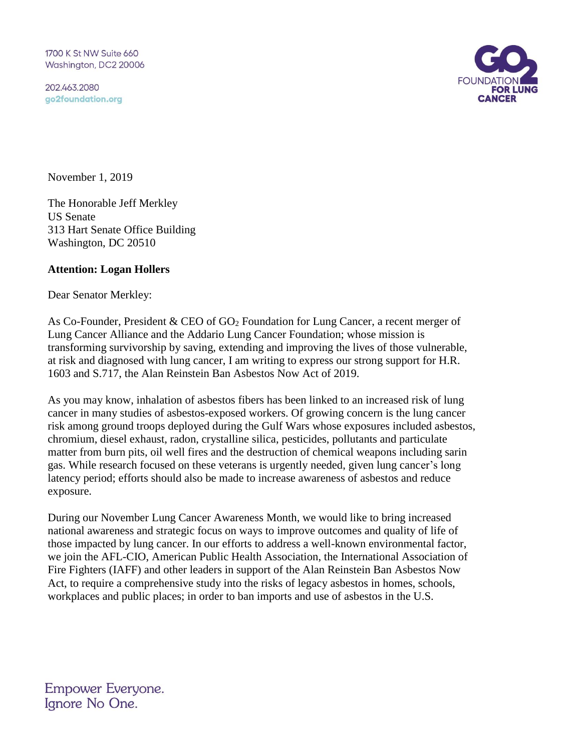1700 K St NW Suite 660 Washington, DC2 20006

202.463.2080 go2foundation.org



November 1, 2019

The Honorable Jeff Merkley US Senate 313 Hart Senate Office Building Washington, DC 20510

## **Attention: Logan Hollers**

Dear Senator Merkley:

As Co-Founder, President & CEO of  $GO<sub>2</sub>$  Foundation for Lung Cancer, a recent merger of Lung Cancer Alliance and the Addario Lung Cancer Foundation; whose mission is transforming survivorship by saving, extending and improving the lives of those vulnerable, at risk and diagnosed with lung cancer, I am writing to express our strong support for H.R. 1603 and S.717, the Alan Reinstein Ban Asbestos Now Act of 2019.

As you may know, inhalation of asbestos fibers has been linked to an increased risk of lung cancer in many studies of asbestos-exposed workers. Of growing concern is the lung cancer risk among ground troops deployed during the Gulf Wars whose exposures included asbestos, chromium, diesel exhaust, radon, crystalline silica, pesticides, pollutants and particulate matter from burn pits, oil well fires and the destruction of chemical weapons including sarin gas. While research focused on these veterans is urgently needed, given lung cancer's long latency period; efforts should also be made to increase awareness of asbestos and reduce exposure.

During our November Lung Cancer Awareness Month, we would like to bring increased national awareness and strategic focus on ways to improve outcomes and quality of life of those impacted by lung cancer. In our efforts to address a well-known environmental factor, we join the AFL-CIO, American Public Health Association, the International Association of Fire Fighters (IAFF) and other leaders in support of the Alan Reinstein Ban Asbestos Now Act, to require a comprehensive study into the risks of legacy asbestos in homes, schools, workplaces and public places; in order to ban imports and use of asbestos in the U.S.

Empower Everyone. Ignore No One.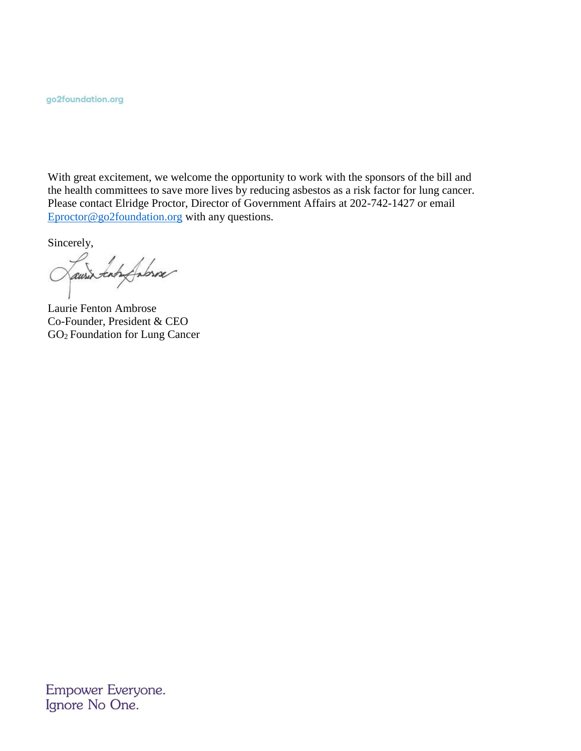go2foundation.org

With great excitement, we welcome the opportunity to work with the sponsors of the bill and the health committees to save more lives by reducing asbestos as a risk factor for lung cancer. Please contact Elridge Proctor, Director of Government Affairs at 202-742-1427 or email [Eproctor@go2foundation.org](mailto:Eproctor@go2foundation.org) with any questions.

Sincerely,

ausis tan fabrose C

Laurie Fenton Ambrose Co-Founder, President & CEO GO<sup>2</sup> Foundation for Lung Cancer

Empower Everyone. Ignore No One.